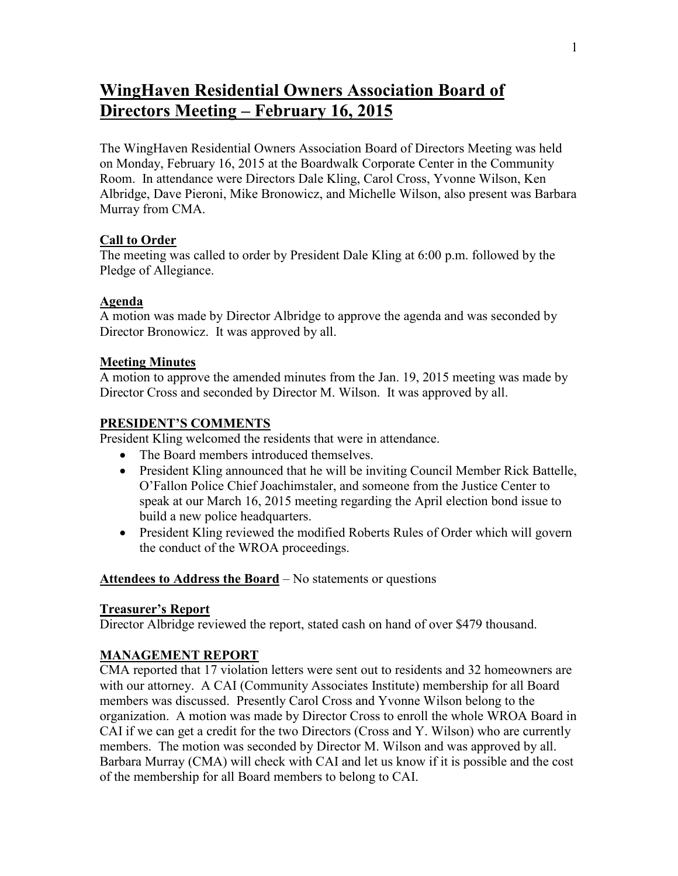# **WingHaven Residential Owners Association Board of Directors Meeting – February 16, 2015**

The WingHaven Residential Owners Association Board of Directors Meeting was held on Monday, February 16, 2015 at the Boardwalk Corporate Center in the Community Room. In attendance were Directors Dale Kling, Carol Cross, Yvonne Wilson, Ken Albridge, Dave Pieroni, Mike Bronowicz, and Michelle Wilson, also present was Barbara Murray from CMA.

#### **Call to Order**

The meeting was called to order by President Dale Kling at 6:00 p.m. followed by the Pledge of Allegiance.

### **Agenda**

A motion was made by Director Albridge to approve the agenda and was seconded by Director Bronowicz. It was approved by all.

#### **Meeting Minutes**

A motion to approve the amended minutes from the Jan. 19, 2015 meeting was made by Director Cross and seconded by Director M. Wilson. It was approved by all.

### **PRESIDENT'S COMMENTS**

President Kling welcomed the residents that were in attendance.

- The Board members introduced themselves.
- President Kling announced that he will be inviting Council Member Rick Battelle, O'Fallon Police Chief Joachimstaler, and someone from the Justice Center to speak at our March 16, 2015 meeting regarding the April election bond issue to build a new police headquarters.
- President Kling reviewed the modified Roberts Rules of Order which will govern the conduct of the WROA proceedings.

#### **Attendees to Address the Board** – No statements or questions

#### **Treasurer's Report**

Director Albridge reviewed the report, stated cash on hand of over \$479 thousand.

### **MANAGEMENT REPORT**

CMA reported that 17 violation letters were sent out to residents and 32 homeowners are with our attorney. A CAI (Community Associates Institute) membership for all Board members was discussed. Presently Carol Cross and Yvonne Wilson belong to the organization. A motion was made by Director Cross to enroll the whole WROA Board in CAI if we can get a credit for the two Directors (Cross and Y. Wilson) who are currently members. The motion was seconded by Director M. Wilson and was approved by all. Barbara Murray (CMA) will check with CAI and let us know if it is possible and the cost of the membership for all Board members to belong to CAI.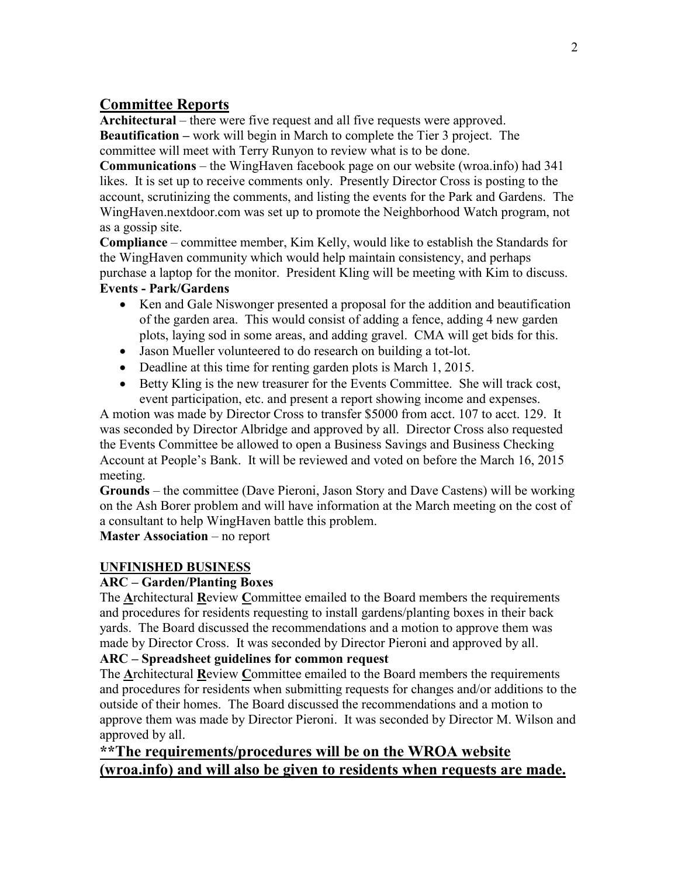# **Committee Reports**

**Architectural** – there were five request and all five requests were approved. **Beautification –** work will begin in March to complete the Tier 3 project. The committee will meet with Terry Runyon to review what is to be done.

**Communications** – the WingHaven facebook page on our website (wroa.info) had 341 likes. It is set up to receive comments only. Presently Director Cross is posting to the account, scrutinizing the comments, and listing the events for the Park and Gardens. The WingHaven.nextdoor.com was set up to promote the Neighborhood Watch program, not as a gossip site.

**Compliance** – committee member, Kim Kelly, would like to establish the Standards for the WingHaven community which would help maintain consistency, and perhaps purchase a laptop for the monitor. President Kling will be meeting with Kim to discuss.

## **Events - Park/Gardens**

- Ken and Gale Niswonger presented a proposal for the addition and beautification of the garden area. This would consist of adding a fence, adding 4 new garden plots, laying sod in some areas, and adding gravel. CMA will get bids for this.
- Jason Mueller volunteered to do research on building a tot-lot.
- Deadline at this time for renting garden plots is March 1, 2015.
- Betty Kling is the new treasurer for the Events Committee. She will track cost, event participation, etc. and present a report showing income and expenses.

A motion was made by Director Cross to transfer \$5000 from acct. 107 to acct. 129. It was seconded by Director Albridge and approved by all. Director Cross also requested the Events Committee be allowed to open a Business Savings and Business Checking Account at People's Bank. It will be reviewed and voted on before the March 16, 2015 meeting.

**Grounds** – the committee (Dave Pieroni, Jason Story and Dave Castens) will be working on the Ash Borer problem and will have information at the March meeting on the cost of a consultant to help WingHaven battle this problem.

**Master Association – no report** 

### **UNFINISHED BUSINESS**

### **ARC – Garden/Planting Boxes**

The **A**rchitectural **R**eview **C**ommittee emailed to the Board members the requirements and procedures for residents requesting to install gardens/planting boxes in their back yards. The Board discussed the recommendations and a motion to approve them was made by Director Cross. It was seconded by Director Pieroni and approved by all.

### **ARC – Spreadsheet guidelines for common request**

The **A**rchitectural **R**eview **C**ommittee emailed to the Board members the requirements and procedures for residents when submitting requests for changes and/or additions to the outside of their homes. The Board discussed the recommendations and a motion to approve them was made by Director Pieroni. It was seconded by Director M. Wilson and approved by all.

# **\*\*The requirements/procedures will be on the WROA website (wroa.info) and will also be given to residents when requests are made.**